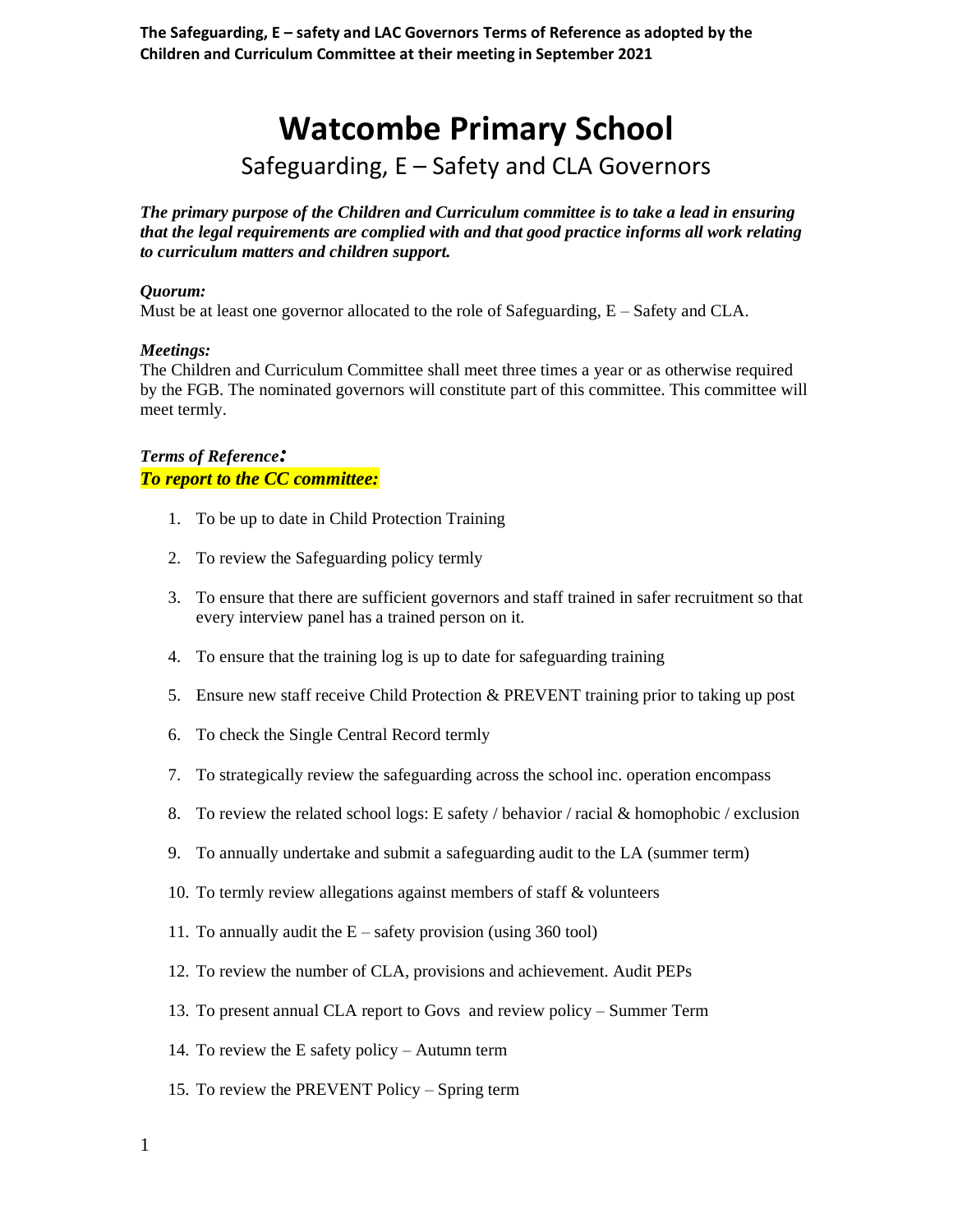**The Safeguarding, E – safety and LAC Governors Terms of Reference as adopted by the Children and Curriculum Committee at their meeting in September 2021**

# **Watcombe Primary School**

# Safeguarding, E – Safety and CLA Governors

*The primary purpose of the Children and Curriculum committee is to take a lead in ensuring that the legal requirements are complied with and that good practice informs all work relating to curriculum matters and children support.* 

#### *Quorum:*

Must be at least one governor allocated to the role of Safeguarding,  $E - S$ afety and CLA.

#### *Meetings:*

The Children and Curriculum Committee shall meet three times a year or as otherwise required by the FGB. The nominated governors will constitute part of this committee. This committee will meet termly.

### *Terms of Reference: To report to the CC committee:*

- 1. To be up to date in Child Protection Training
- 2. To review the Safeguarding policy termly
- 3. To ensure that there are sufficient governors and staff trained in safer recruitment so that every interview panel has a trained person on it.
- 4. To ensure that the training log is up to date for safeguarding training
- 5. Ensure new staff receive Child Protection & PREVENT training prior to taking up post
- 6. To check the Single Central Record termly
- 7. To strategically review the safeguarding across the school inc. operation encompass
- 8. To review the related school logs: E safety / behavior / racial & homophobic / exclusion
- 9. To annually undertake and submit a safeguarding audit to the LA (summer term)
- 10. To termly review allegations against members of staff & volunteers
- 11. To annually audit the  $E$  safety provision (using 360 tool)
- 12. To review the number of CLA, provisions and achievement. Audit PEPs
- 13. To present annual CLA report to Govs and review policy Summer Term
- 14. To review the E safety policy Autumn term
- 15. To review the PREVENT Policy Spring term